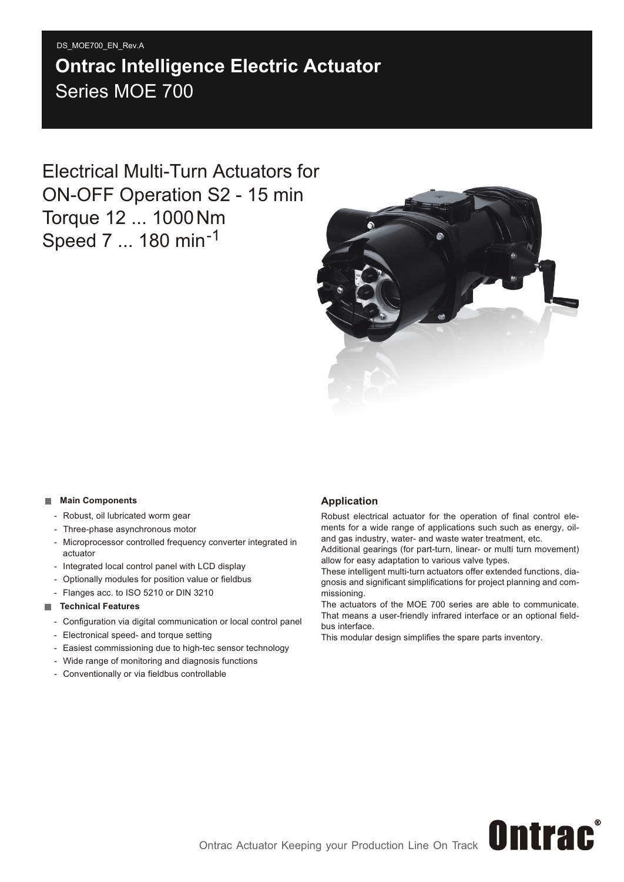#### DS\_MOE700\_EN\_Rev.A

# Series MOE 700 **Ontrac Intelligence Electric Actuator**

Electrical Multi-Turn Actuators for ON-OFF Operation S2 - 15 min Torque 12 ... 1000Nm Speed 7 ... 180 min<sup>-1</sup>



#### **Main Components**

- Robust, oil lubricated worm gear
- Three-phase asynchronous motor
- Microprocessor controlled frequency converter integrated in actuator
- Integrated local control panel with LCD display
- Optionally modules for position value or fieldbus
- Flanges acc. to ISO 5210 or DIN 3210

#### **Technical Features**

- Configuration via digital communication or local control panel
- Electronical speed- and torque setting
- Easiest commissioning due to high-tec sensor technology
- Wide range of monitoring and diagnosis functions
- Conventionally or via fieldbus controllable

#### **Application**

Robust electrical actuator for the operation of final control elements for a wide range of applications such such as energy, oiland gas industry, water- and waste water treatment, etc.

Additional gearings (for part-turn, linear- or multi turn movement) allow for easy adaptation to various valve types.

These intelligent multi-turn actuators offer extended functions, diagnosis and significant simplifications for project planning and commissioning.

The actuators of the MOE 700 series are able to communicate. That means a user-friendly infrared interface or an optional fieldbus interface.

This modular design simplifies the spare parts inventory.

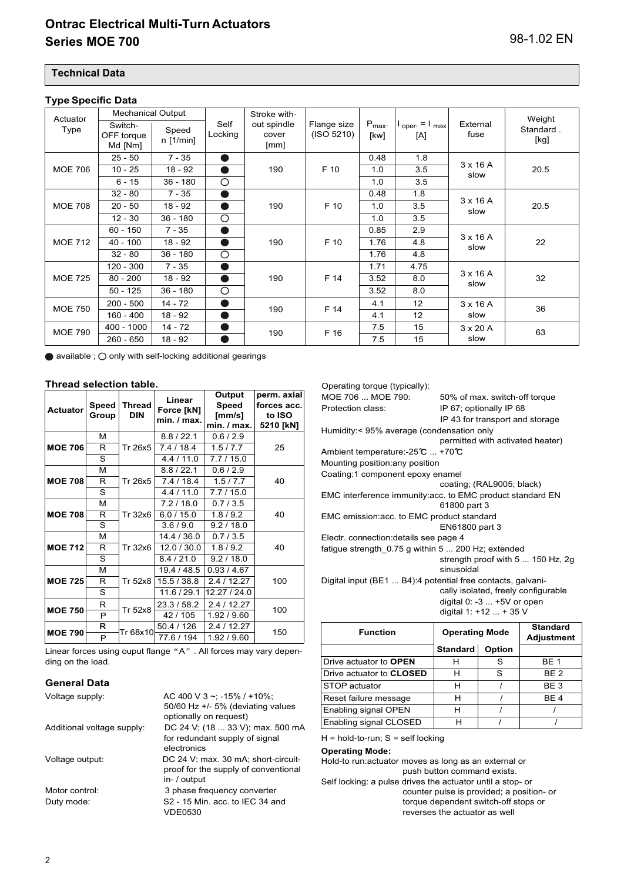#### **Technical Data**

#### **Type Specific Data**

| $JP$ , where $JP$ |                          |             |            |               |             |                    |                                  |                         |           |  |
|-------------------|--------------------------|-------------|------------|---------------|-------------|--------------------|----------------------------------|-------------------------|-----------|--|
| Actuator          | <b>Mechanical Output</b> |             |            | Stroke with-  |             |                    |                                  |                         | Weight    |  |
| Type              | Switch-                  | Speed       | Self       | out spindle   | Flange size | $P_{\text{max}}$ . | oper = $\mathsf{I}_{\text{max}}$ | External                | Standard. |  |
|                   | OFF torque<br>Md [Nm]    | $n$ [1/min] | Locking    | cover<br>[mm] | (ISO 5210)  | [kw]               | [A]                              | fuse                    | [kg]      |  |
|                   |                          |             |            |               |             |                    |                                  |                         |           |  |
|                   | $25 - 50$                | $7 - 35$    |            |               | F 10        | 0.48               | 1.8                              | $3 \times 16$ A         |           |  |
| <b>MOE 706</b>    | $10 - 25$                | $18 - 92$   |            | 190           |             | 1.0                | 3.5                              | slow                    | 20.5      |  |
|                   | $6 - 15$                 | $36 - 180$  | $\circ$    |               |             | 1.0                | 3.5                              |                         |           |  |
|                   | $32 - 80$                | $7 - 35$    |            |               |             | 0.48               | 1.8                              |                         |           |  |
| <b>MOE 708</b>    | $20 - 50$                | $18 - 92$   |            | 190           | F 10        | 1.0                | 3.5                              | $3 \times 16$ A<br>slow | 20.5      |  |
|                   | $12 - 30$                | $36 - 180$  | $\circ$    |               |             | 1.0                | 3.5                              |                         |           |  |
|                   | $60 - 150$               | $7 - 35$    |            | 190           | F 10        | 0.85               | 2.9                              |                         |           |  |
| <b>MOE 712</b>    | $40 - 100$               | $18 - 92$   |            |               |             | 1.76               | 4.8                              | $3 \times 16$ A<br>slow | 22        |  |
|                   | $32 - 80$                | $36 - 180$  | $\bigcirc$ |               |             | 1.76               | 4.8                              |                         |           |  |
|                   | $120 - 300$              | $7 - 35$    |            |               |             | 1.71               | 4.75                             |                         |           |  |
| <b>MOE 725</b>    | $80 - 200$               | $18 - 92$   |            | 190           | F 14        | 3.52               | 8.0                              | $3 \times 16$ A<br>slow | 32        |  |
|                   | $50 - 125$               | $36 - 180$  | $\circ$    |               |             | 3.52               | 8.0                              |                         |           |  |
| <b>MOE 750</b>    | $200 - 500$              | $14 - 72$   |            | 190           | F 14        | 4.1                | 12                               | $3 \times 16$ A         | 36        |  |
|                   | $160 - 400$              | $18 - 92$   |            |               |             | 4.1                | 12                               | slow                    |           |  |
| <b>MOE 790</b>    | 400 - 1000               | 14 - 72     |            | 190           | F 16        | 7.5<br>15          |                                  | $3 \times 20$ A         | 63        |  |
|                   | 260 - 650                | 18 - 92     |            |               |             | 7.5                | 15                               | slow                    |           |  |

 $\bullet$  available ;  $\bigcirc$  only with self-locking additional gearings

#### **Thread selection table.**

| <b>Actuator</b> | <b>Speed</b><br>Group | <b>Thread</b><br><b>DIN</b> | Linear<br>Force [kN]<br>min. / max. | Output<br><b>Speed</b><br>[mm/s]<br>min. / max. | perm. axial<br>forces acc.<br>to ISO<br>5210 [kN] |  |  |
|-----------------|-----------------------|-----------------------------|-------------------------------------|-------------------------------------------------|---------------------------------------------------|--|--|
|                 | м                     |                             | 8.8 / 22.1                          | 0.6/2.9                                         |                                                   |  |  |
| <b>MOE 706</b>  | R                     | Tr 26x5                     | 7.4 / 18.4                          | 1.5/7.7                                         | 25                                                |  |  |
|                 | S                     |                             | 4.4/11.0                            | 7.7/15.0                                        |                                                   |  |  |
|                 | м                     |                             | 8.8 / 22.1                          | 0.6/2.9                                         |                                                   |  |  |
| <b>MOE 708</b>  | R                     | Tr 26x5                     | 7.4/18.4                            | 1.5/7.7                                         | 40                                                |  |  |
|                 | S                     |                             | 4.4/11.0                            | 7.7/15.0                                        |                                                   |  |  |
|                 | м                     |                             | 7.2/18.0                            | 0.7/3.5                                         |                                                   |  |  |
| <b>MOE 708</b>  | R                     | Tr 32x6                     | 6.0 / 15.0                          | 1.8/9.2                                         | 40                                                |  |  |
|                 | S                     |                             | 3.6 / 9.0                           | 9.2 / 18.0                                      |                                                   |  |  |
|                 | м                     |                             | 14.4 / 36.0                         | 0.7/3.5                                         |                                                   |  |  |
| <b>MOE 712</b>  | R                     | Tr 32x6                     | 12.0 / 30.0                         | 1.8/9.2                                         | 40                                                |  |  |
|                 | S                     |                             | 8.4 / 21.0                          | 9.2 / 18.0                                      |                                                   |  |  |
|                 | М                     |                             | 19.4 / 48.5                         | 0.93/4.67                                       |                                                   |  |  |
| <b>MOE 725</b>  | R                     | Tr 52x8                     | 15.5 / 38.8                         | 2.4/12.27                                       | 100                                               |  |  |
|                 | S                     |                             | 11.6 / 29.1                         | 12.27 / 24.0                                    |                                                   |  |  |
|                 | R                     | Tr 52x8                     | 23.3 / 58.2                         | 2.4/12.27                                       |                                                   |  |  |
| <b>MOE 750</b>  | P                     |                             | 42/105                              | 1.92 / 9.60                                     | 100                                               |  |  |
|                 | R                     | Tr 68x10                    | 50.4 / 126                          | 2.4 / 12.27                                     |                                                   |  |  |
| <b>MOE 790</b>  | P                     |                             | 77.6 / 194                          | 1.92/9.60                                       | 150                                               |  |  |

Linear forces using ouput flange "A" . All forces may vary depending on the load.

#### **General Data**

| AC 400 V 3 ~: -15% / +10%:           |
|--------------------------------------|
| 50/60 Hz $+/-$ 5% (deviating values  |
| optionally on request)               |
| DC 24 V; (18  33 V); max. 500 mA     |
| for redundant supply of signal       |
| electronics                          |
| DC 24 V; max. 30 mA; short-circuit-  |
| proof for the supply of conventional |
| in- / output                         |
| 3 phase frequency converter          |
| $S2 - 15$ Min. acc. to IFC 34 and    |
| VDE0530                              |
|                                      |

#### Operating torque (typically): MOE 706 ... MOE 790: 50% of max. switch-off torque Protection class: IP 67; optionally IP 68 IP 43 for transport and storage Humidity:< 95% average (condensation only permitted with activated heater) Ambient temperature:-25°C ... +70°C Mounting position:any position Coating:1 component epoxy enamel coating; (RAL9005; black) EMC interference immunity:acc. to EMC product standard EN 61800 part 3 EMC emission:acc. to EMC product standard EN61800 part 3 Electr. connection:details see page 4 fatigue strength\_0.75 g within 5 ... 200 Hz; extended strength proof with 5 ... 150 Hz, 2g sinusoidal Digital input (BE1 ... B4):4 potential free contacts, galvanically isolated, freely configurable digital 0: -3 ... +5V or open digital 1: +12 ... + 35 V

| <b>Function</b>                 | <b>Operating Mode</b> |        | <b>Standard</b><br><b>Adjustment</b> |
|---------------------------------|-----------------------|--------|--------------------------------------|
|                                 | <b>Standard</b>       | Option |                                      |
| Drive actuator to <b>OPEN</b>   | н                     | S      | <b>BE 1</b>                          |
| Drive actuator to <b>CLOSED</b> | н                     | S      | BE <sub>2</sub>                      |
| STOP actuator                   | н                     |        | BE <sub>3</sub>                      |
| Reset failure message           | н                     |        | BE <sub>4</sub>                      |
| Enabling signal OPEN            | н                     |        |                                      |
| Enabling signal CLOSED          |                       |        |                                      |

 $H = hold-to-run$ ;  $S = self locking$ 

#### **Operating Mode:**

Hold-to run:actuator moves as long as an external or push button command exists. Self locking: a pulse drives the actuator until a stop- or

counter pulse is provided; a position- or torque dependent switch-off stops or reverses the actuator as well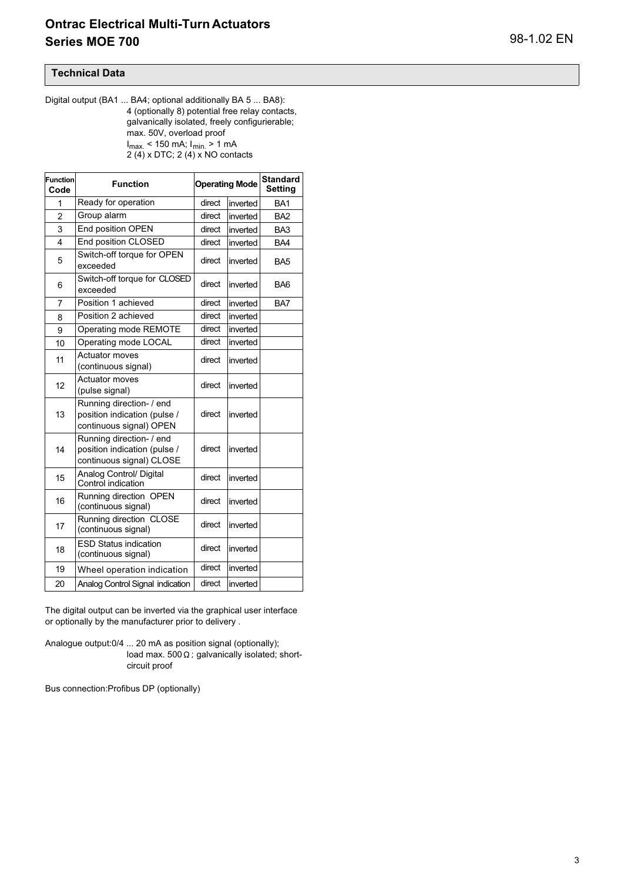#### **Technical Data**

Digital output (BA1 ... BA4; optional additionally BA 5 ... BA8): 4 (optionally 8) potential free relay contacts, galvanically isolated, freely configurierable; max. 50V, overload proof I<sub>max.</sub> < 150 mA; I<sub>min.</sub> > 1 mA 2 (4) x DTC; 2 (4) x NO contacts

| <b>Function</b><br>Code | <b>Function</b>                                                                      |        | <b>Operating Mode</b> | <b>Standard</b><br><b>Setting</b> |
|-------------------------|--------------------------------------------------------------------------------------|--------|-----------------------|-----------------------------------|
| 1                       | Ready for operation                                                                  | direct | inverted              | BA <sub>1</sub>                   |
| $\overline{2}$          | Group alarm                                                                          | direct | inverted              | BA <sub>2</sub>                   |
| 3                       | End position OPEN                                                                    | direct | inverted              | BA <sub>3</sub>                   |
| 4                       | End position CLOSED                                                                  | direct | inverted              | BA4                               |
| 5                       | Switch-off torque for OPEN<br>exceeded                                               | direct | inverted              | BA <sub>5</sub>                   |
| 6                       | Switch-off torque for CLOSED<br>exceeded                                             | direct | inverted              | BA <sub>6</sub>                   |
| $\overline{7}$          | Position 1 achieved                                                                  | direct | BA7                   |                                   |
| 8                       | Position 2 achieved                                                                  | direct | inverted              |                                   |
| 9                       | Operating mode REMOTE                                                                | direct | inverted              |                                   |
| 10                      | Operating mode LOCAL                                                                 | direct | inverted              |                                   |
| 11                      | <b>Actuator moves</b><br>(continuous signal)                                         | direct | inverted              |                                   |
| 12                      | <b>Actuator moves</b><br>(pulse signal)                                              | direct | inverted              |                                   |
| 13                      | Running direction- / end<br>position indication (pulse /<br>continuous signal) OPEN  | direct | inverted              |                                   |
| 14                      | Running direction- / end<br>position indication (pulse /<br>continuous signal) CLOSE | direct | inverted              |                                   |
| 15                      | Analog Control/ Digital<br>Control indication                                        | direct | inverted              |                                   |
| 16                      | Running direction OPEN<br>(continuous signal)                                        | direct | inverted              |                                   |
| 17                      | Running direction CLOSE<br>(continuous signal)                                       | direct | inverted              |                                   |
| 18                      | <b>ESD Status indication</b><br>(continuous signal)                                  | direct | inverted              |                                   |
| 19                      | Wheel operation indication                                                           | direct | inverted              |                                   |
| 20                      | Analog Control Signal indication                                                     | direct | inverted              |                                   |

The digital output can be inverted via the graphical user interface or optionally by the manufacturer prior to delivery .

Analogue output:0/4 ... 20 mA as position signal (optionally); load max.  $500 \Omega$ ; galvanically isolated; shortcircuit proof

Bus connection:Profibus DP (optionally)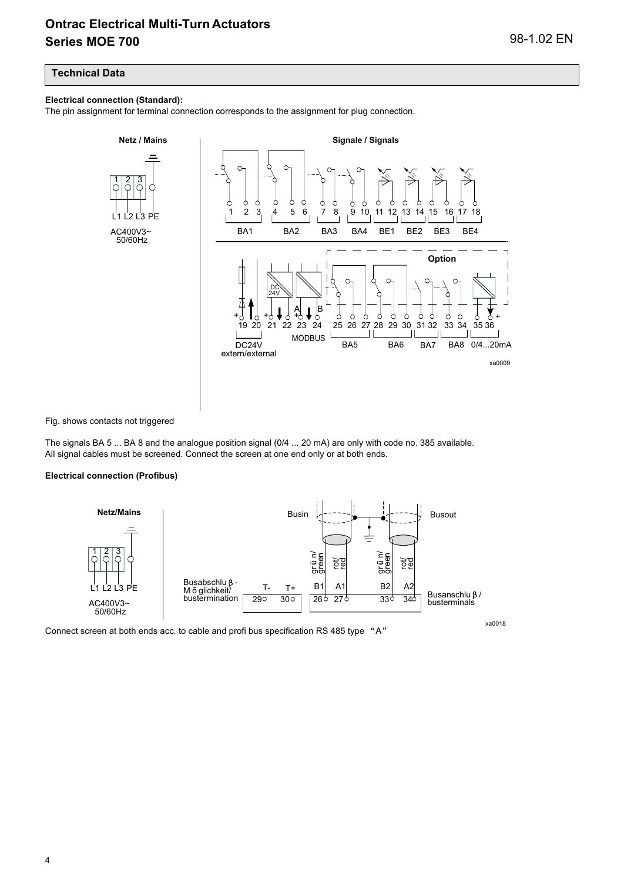#### **Technical Data**

#### **Electrical connection (Standard):**

The pin assignment for terminal connection corresponds to the assignment for plug connection.



Fig. shows contacts not triggered

The signals BA 5 ... BA 8 and the analogue position signal (0/4 ... 20 mA) are only with code no. 385 available. All signal cables must be screened. Connect the screen at one end only or at both ends.

#### **Electrical connection (Profibus)**



Connect screen at both ends acc. to cable and profi bus specification RS 485 type "A"

xa0018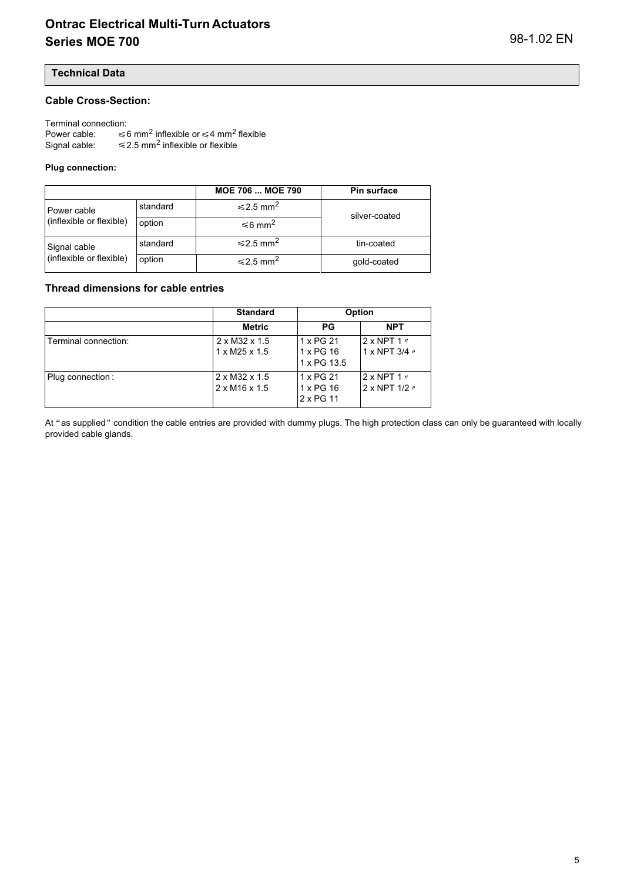#### **Technical Data**

#### **Cable Cross-Section:**

Terminal connection:

Power cable: inflexible or  $\leq 4$  mm<sup>2</sup> flexible Signal cable:  $\leq$  2.5 mm<sup>2</sup> inflexible or flexible

#### **Plug connection:**

|                          |          | <b>MOE 706  MOE 790</b>    | Pin surface   |
|--------------------------|----------|----------------------------|---------------|
| Power cable              | standard | $\leq 2.5$ mm <sup>2</sup> | silver-coated |
| (inflexible or flexible) | option   | $≤6$ mm <sup>2</sup>       |               |
| Signal cable             | standard | $\leq 2.5$ mm <sup>2</sup> | tin-coated    |
| (inflexible or flexible) | option   | $\leq 2.5$ mm <sup>2</sup> | gold-coated   |

#### **Thread dimensions for cable entries**

|                      | <b>Standard</b>                                        |                                       | Option                                                          |  |  |
|----------------------|--------------------------------------------------------|---------------------------------------|-----------------------------------------------------------------|--|--|
|                      | <b>Metric</b>                                          | <b>PG</b>                             | <b>NPT</b>                                                      |  |  |
| Terminal connection: | $2 \times M32 \times 1.5$<br>$1 \times M25 \times 1.5$ | 1 x PG 21<br>1 x PG 16<br>1 x PG 13.5 | $2 \times$ NPT 1 $\prime\prime$<br>1 x NPT $3/4$ $\prime\prime$ |  |  |
| Plug connection:     | $2 \times M32 \times 1.5$<br>$2 \times M16 \times 1.5$ | 1 x PG 21<br>1 x PG 16<br>2 x PG 11   | $2 \times$ NPT 1 $\prime\prime$<br>2 x NPT 1/2 //               |  |  |

At "as supplied" condition the cable entries are provided with dummy plugs. The high protection class can only be guaranteed with locally provided cable glands.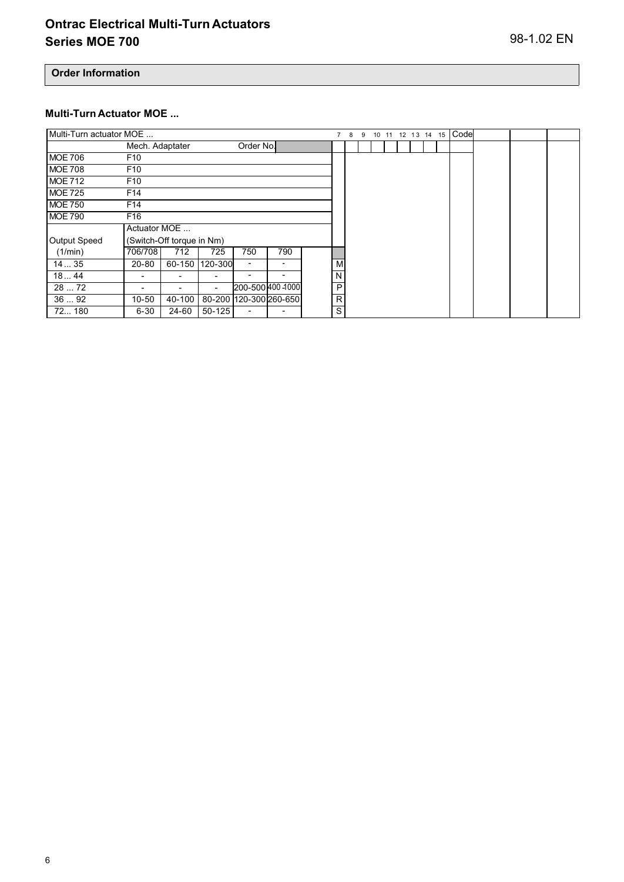**Order Information**

#### **Multi-Turn Actuator MOE ...**

| Multi-Turn actuator MOE |                 |                           |            |                          |     | $\overline{7}$ | 8 | 9 | 10 |  | 11 12 13 14 15 |  | Code |  |  |
|-------------------------|-----------------|---------------------------|------------|--------------------------|-----|----------------|---|---|----|--|----------------|--|------|--|--|
|                         | Mech. Adaptater |                           |            | Order No.                |     |                |   |   |    |  |                |  |      |  |  |
| <b>MOE 706</b>          | F <sub>10</sub> |                           |            |                          |     |                |   |   |    |  |                |  |      |  |  |
| <b>MOE 708</b>          | F <sub>10</sub> |                           |            |                          |     |                |   |   |    |  |                |  |      |  |  |
| <b>MOE 712</b>          | F <sub>10</sub> |                           |            |                          |     |                |   |   |    |  |                |  |      |  |  |
| <b>MOE 725</b>          | F <sub>14</sub> |                           |            |                          |     |                |   |   |    |  |                |  |      |  |  |
| <b>MOE 750</b>          | F <sub>14</sub> |                           |            |                          |     |                |   |   |    |  |                |  |      |  |  |
| <b>MOE 790</b>          | F <sub>16</sub> |                           |            |                          |     |                |   |   |    |  |                |  |      |  |  |
|                         | Actuator MOE    |                           |            |                          |     |                |   |   |    |  |                |  |      |  |  |
| Output Speed            |                 | (Switch-Off torque in Nm) |            |                          |     |                |   |   |    |  |                |  |      |  |  |
| (1/min)                 | 706/708         | 712                       | 725        | 750                      | 790 |                |   |   |    |  |                |  |      |  |  |
| 1435                    | 20-80           | 60-150                    | 120-300    | $\overline{\phantom{a}}$ | ۰   | M              |   |   |    |  |                |  |      |  |  |
| 1844                    |                 |                           | -          |                          | ٠   | N              |   |   |    |  |                |  |      |  |  |
| 28  72                  |                 |                           | -          | 200-500 400 4000         |     | P              |   |   |    |  |                |  |      |  |  |
| 3692                    | $10 - 50$       | 40-100                    |            | 80-200 120-300 260-650   |     | R              |   |   |    |  |                |  |      |  |  |
| 72 180                  | $6 - 30$        | 24-60                     | $50 - 125$ |                          |     | S              |   |   |    |  |                |  |      |  |  |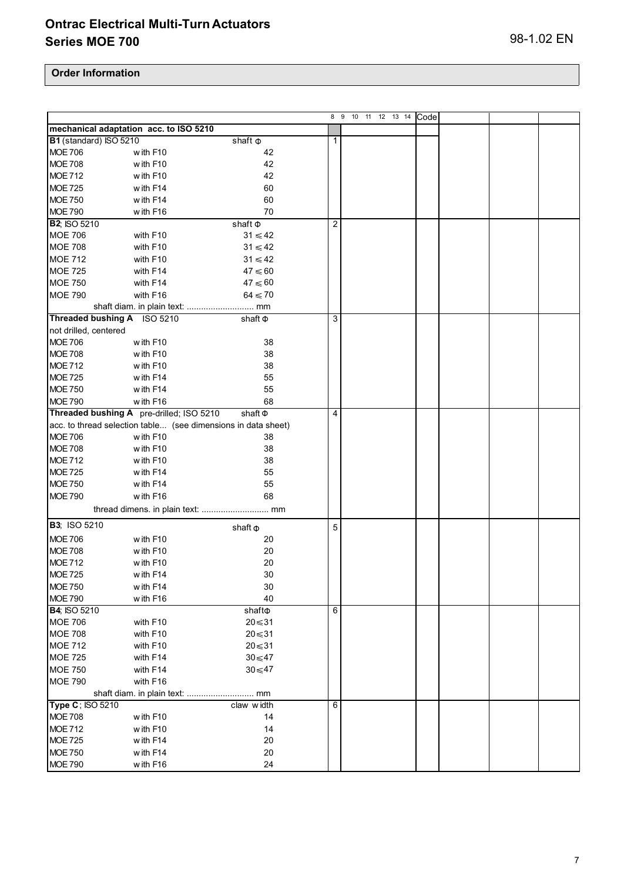|                             |                                                               |                   |                | 8 9 10 11 12 13 14 | Code |  |  |
|-----------------------------|---------------------------------------------------------------|-------------------|----------------|--------------------|------|--|--|
|                             | mechanical adaptation acc. to ISO 5210                        |                   |                |                    |      |  |  |
| B1 (standard) ISO 5210      |                                                               | shaft $\Phi$      | 1              |                    |      |  |  |
| <b>MOE 706</b>              | with F10                                                      | 42                |                |                    |      |  |  |
| <b>MOE 708</b>              | with F10                                                      | 42                |                |                    |      |  |  |
| <b>MOE 712</b>              | with F10                                                      | 42                |                |                    |      |  |  |
| <b>MOE 725</b>              | with F14                                                      | 60                |                |                    |      |  |  |
| <b>MOE 750</b>              | with F14                                                      | 60                |                |                    |      |  |  |
| <b>MOE 790</b>              | with F16                                                      | 70                |                |                    |      |  |  |
| <b>B2; ISO 5210</b>         |                                                               | shaft $\Phi$      | $\overline{2}$ |                    |      |  |  |
| <b>MOE 706</b>              | with F10                                                      | $31 \leq 42$      |                |                    |      |  |  |
| <b>MOE 708</b>              | with F10                                                      | $31 \leqslant 42$ |                |                    |      |  |  |
| <b>MOE 712</b>              | with F10                                                      | $31 \leq 42$      |                |                    |      |  |  |
| <b>MOE 725</b>              | with F14                                                      | $47 \leqslant 60$ |                |                    |      |  |  |
| <b>MOE 750</b>              | with F14                                                      | $47 \leqslant 60$ |                |                    |      |  |  |
|                             |                                                               |                   |                |                    |      |  |  |
| <b>MOE 790</b>              | with F16                                                      | $64 \leq 70$      |                |                    |      |  |  |
|                             |                                                               |                   |                |                    |      |  |  |
| Threaded bushing A ISO 5210 |                                                               | shaft $\Phi$      | 3              |                    |      |  |  |
| not drilled, centered       |                                                               |                   |                |                    |      |  |  |
| <b>MOE 706</b>              | with F10                                                      | 38                |                |                    |      |  |  |
| <b>MOE 708</b>              | with F10                                                      | 38                |                |                    |      |  |  |
| <b>MOE 712</b>              | with F10                                                      | 38                |                |                    |      |  |  |
| <b>MOE 725</b>              | with F14                                                      | 55                |                |                    |      |  |  |
| <b>MOE 750</b>              | with F14                                                      | 55                |                |                    |      |  |  |
| <b>MOE 790</b>              | with F16                                                      | 68                |                |                    |      |  |  |
|                             | Threaded bushing A pre-drilled; ISO 5210                      | shaft $\Phi$      | 4              |                    |      |  |  |
|                             | acc. to thread selection table (see dimensions in data sheet) |                   |                |                    |      |  |  |
| <b>MOE 706</b>              | with F10                                                      | 38                |                |                    |      |  |  |
| <b>MOE 708</b>              | with F10                                                      | 38                |                |                    |      |  |  |
| <b>MOE 712</b>              | with F10                                                      | 38                |                |                    |      |  |  |
| <b>MOE 725</b>              | with F14                                                      | 55                |                |                    |      |  |  |
| <b>MOE 750</b>              | with F14                                                      | 55                |                |                    |      |  |  |
| <b>MOE 790</b>              | with F16                                                      | 68                |                |                    |      |  |  |
|                             |                                                               |                   |                |                    |      |  |  |
| <b>B3</b> ; ISO 5210        |                                                               | shaft $\Phi$      | 5              |                    |      |  |  |
| <b>MOE 706</b>              | with F10                                                      | 20                |                |                    |      |  |  |
| <b>MOE 708</b>              | with F10                                                      | 20                |                |                    |      |  |  |
| <b>MOE 712</b>              | with F10                                                      | 20                |                |                    |      |  |  |
| <b>MOE 725</b>              | with F14                                                      | 30                |                |                    |      |  |  |
| <b>MOE 750</b>              | with F14                                                      | 30                |                |                    |      |  |  |
| <b>MOE 790</b>              | with F16                                                      | 40                |                |                    |      |  |  |
| <b>B4; ISO 5210</b>         |                                                               | shaft $\Phi$      | 6              |                    |      |  |  |
| <b>MOE 706</b>              | with F10                                                      | $20 \le 31$       |                |                    |      |  |  |
| <b>MOE 708</b>              | with F10                                                      | $20 \le 31$       |                |                    |      |  |  |
| <b>MOE 712</b>              | with F10                                                      | $20 \le 31$       |                |                    |      |  |  |
| <b>MOE 725</b>              | with F14                                                      | 30< 47            |                |                    |      |  |  |
| <b>MOE 750</b>              | with F14                                                      | $30 \leq 47$      |                |                    |      |  |  |
| <b>MOE 790</b>              | with F16                                                      |                   |                |                    |      |  |  |
|                             |                                                               |                   |                |                    |      |  |  |
| Type C; ISO 5210            |                                                               | claw width        | 6              |                    |      |  |  |
| <b>MOE 708</b>              | with F10                                                      | 14                |                |                    |      |  |  |
| <b>MOE 712</b>              | with F10                                                      | 14                |                |                    |      |  |  |
| <b>MOE 725</b>              | with F14                                                      | 20                |                |                    |      |  |  |
| <b>MOE 750</b>              | with F14                                                      | 20                |                |                    |      |  |  |
| <b>MOE 790</b>              | with F16                                                      | 24                |                |                    |      |  |  |
|                             |                                                               |                   |                |                    |      |  |  |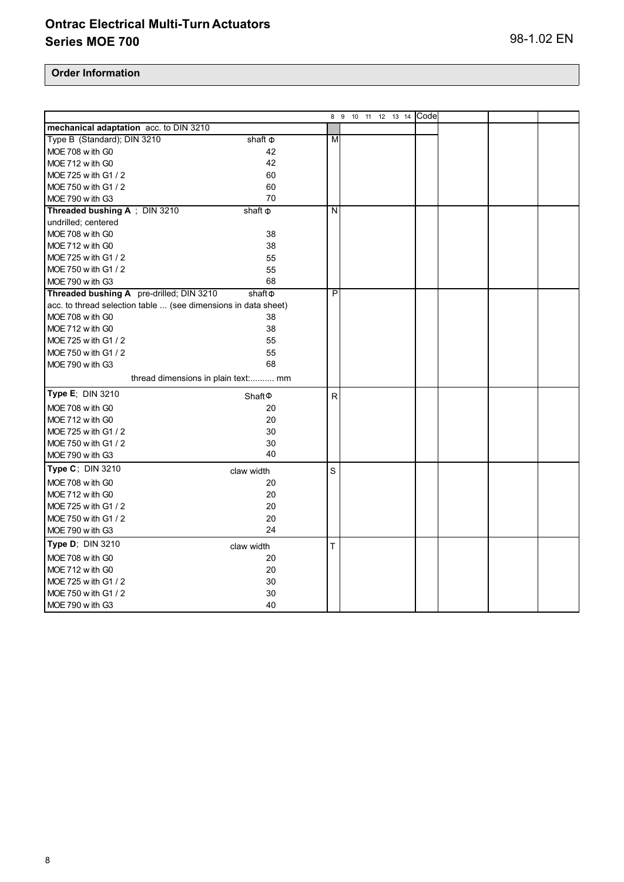|                                                                |                                    | 8<br>9       |  | 10 11 12 13 14 Code |  |  |
|----------------------------------------------------------------|------------------------------------|--------------|--|---------------------|--|--|
| mechanical adaptation acc. to DIN 3210                         |                                    |              |  |                     |  |  |
| Type B (Standard); DIN 3210                                    | shaft $\Phi$                       | M            |  |                     |  |  |
| MOE 708 w ith G0                                               | 42                                 |              |  |                     |  |  |
| MOE 712 w ith G0                                               | 42                                 |              |  |                     |  |  |
| MOE 725 w ith G1 / 2                                           | 60                                 |              |  |                     |  |  |
| MOE 750 w ith G1 / 2                                           | 60                                 |              |  |                     |  |  |
| MOE 790 w ith G3                                               | 70                                 |              |  |                     |  |  |
| Threaded bushing A ; DIN 3210                                  | shaft $\Phi$                       | N            |  |                     |  |  |
| undrilled; centered                                            |                                    |              |  |                     |  |  |
| MOE 708 w ith G0                                               | 38                                 |              |  |                     |  |  |
| MOE 712 with G0                                                | 38                                 |              |  |                     |  |  |
| MOE 725 w ith G1 / 2                                           | 55                                 |              |  |                     |  |  |
| MOE 750 w ith G1 / 2                                           | 55                                 |              |  |                     |  |  |
| MOE 790 w ith G3                                               | 68                                 |              |  |                     |  |  |
| Threaded bushing A pre-drilled; DIN 3210                       | shaft@                             | P            |  |                     |  |  |
| acc. to thread selection table  (see dimensions in data sheet) |                                    |              |  |                     |  |  |
| MOE 708 w ith G0                                               | 38                                 |              |  |                     |  |  |
| MOE 712 w ith G0                                               | 38                                 |              |  |                     |  |  |
| MOE 725 w ith G1 / 2                                           | 55                                 |              |  |                     |  |  |
| MOE 750 w ith G1 / 2                                           | 55                                 |              |  |                     |  |  |
| MOE 790 w ith G3                                               | 68                                 |              |  |                     |  |  |
| thread dimensions in plain text: mm                            |                                    |              |  |                     |  |  |
| Type E; DIN 3210                                               | Shaft <sup><math>\Phi</math></sup> | $\mathsf{R}$ |  |                     |  |  |
| MOE 708 w ith G0                                               | 20                                 |              |  |                     |  |  |
| MOE 712 w ith G0                                               | 20                                 |              |  |                     |  |  |
| MOE 725 w ith G1 / 2                                           | 30                                 |              |  |                     |  |  |
| MOE 750 w ith G1 / 2                                           | 30                                 |              |  |                     |  |  |
| MOE 790 w ith G3                                               | 40                                 |              |  |                     |  |  |
| Type C; DIN 3210                                               | claw width                         | S            |  |                     |  |  |
| MOE 708 w ith G0                                               | 20                                 |              |  |                     |  |  |
| MOE 712 w ith G0                                               | 20                                 |              |  |                     |  |  |
| MOE 725 w ith G1 / 2                                           | 20                                 |              |  |                     |  |  |
| MOE 750 w ith G1 / 2                                           | 20                                 |              |  |                     |  |  |
| MOE 790 w ith G3                                               | 24                                 |              |  |                     |  |  |
| Type D; DIN 3210                                               | claw width                         | T            |  |                     |  |  |
| MOE 708 w ith G0                                               | 20                                 |              |  |                     |  |  |
| MOE 712 w ith G0                                               | 20                                 |              |  |                     |  |  |
| MOE 725 w ith G1 / 2                                           | 30                                 |              |  |                     |  |  |
| MOE 750 w ith G1 / 2                                           | 30                                 |              |  |                     |  |  |
| MOE 790 w ith G3                                               | 40                                 |              |  |                     |  |  |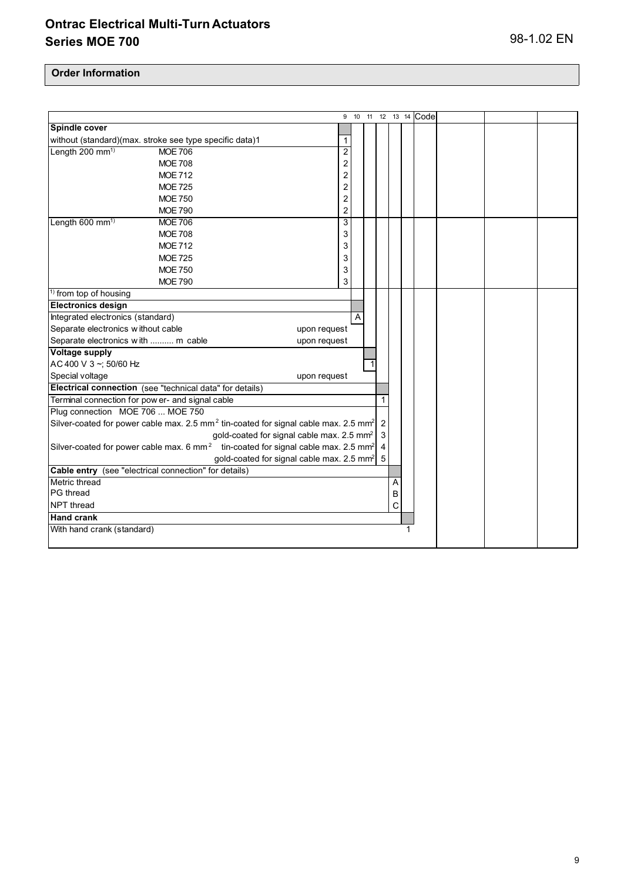|                                                       |                                                                                                             |                |   |                |   | 9 10 11 12 13 14 Code |  |  |
|-------------------------------------------------------|-------------------------------------------------------------------------------------------------------------|----------------|---|----------------|---|-----------------------|--|--|
| Spindle cover                                         |                                                                                                             |                |   |                |   |                       |  |  |
|                                                       | without (standard)(max. stroke see type specific data)1                                                     | $\mathbf{1}$   |   |                |   |                       |  |  |
| Length 200 mm <sup>1)</sup>                           | <b>MOE 706</b>                                                                                              | $\overline{2}$ |   |                |   |                       |  |  |
|                                                       | <b>MOE 708</b>                                                                                              | $\overline{c}$ |   |                |   |                       |  |  |
|                                                       | <b>MOE 712</b>                                                                                              | 2              |   |                |   |                       |  |  |
|                                                       | <b>MOE 725</b>                                                                                              | $\overline{c}$ |   |                |   |                       |  |  |
|                                                       | <b>MOE 750</b>                                                                                              | 2              |   |                |   |                       |  |  |
|                                                       | <b>MOE 790</b>                                                                                              | $\overline{2}$ |   |                |   |                       |  |  |
| Length 600 mm <sup>1)</sup>                           | <b>MOE 706</b>                                                                                              | 3              |   |                |   |                       |  |  |
|                                                       | <b>MOE 708</b>                                                                                              | 3              |   |                |   |                       |  |  |
|                                                       | <b>MOE 712</b>                                                                                              | 3              |   |                |   |                       |  |  |
|                                                       | <b>MOE 725</b>                                                                                              | 3              |   |                |   |                       |  |  |
|                                                       | <b>MOE 750</b>                                                                                              | 3              |   |                |   |                       |  |  |
|                                                       | <b>MOE 790</b>                                                                                              | 3              |   |                |   |                       |  |  |
| <sup>1)</sup> from top of housing                     |                                                                                                             |                |   |                |   |                       |  |  |
| <b>Electronics design</b>                             |                                                                                                             |                |   |                |   |                       |  |  |
| Integrated electronics (standard)                     |                                                                                                             |                | A |                |   |                       |  |  |
| Separate electronics without cable                    |                                                                                                             | upon request   |   |                |   |                       |  |  |
| Separate electronics with  m cable                    |                                                                                                             | upon request   |   |                |   |                       |  |  |
| <b>Voltage supply</b>                                 |                                                                                                             |                |   |                |   |                       |  |  |
| AC 400 V 3~; 50/60 Hz                                 |                                                                                                             |                |   |                |   |                       |  |  |
| Special voltage                                       |                                                                                                             | upon request   |   |                |   |                       |  |  |
|                                                       | Electrical connection (see "technical data" for details)                                                    |                |   |                |   |                       |  |  |
| Terminal connection for pow er- and signal cable      |                                                                                                             |                |   | 1              |   |                       |  |  |
| Plug connection MOE 706  MOE 750                      |                                                                                                             |                |   |                |   |                       |  |  |
|                                                       | Silver-coated for power cable max. 2.5 mm <sup>2</sup> tin-coated for signal cable max. 2.5 mm <sup>2</sup> |                |   | $\overline{2}$ |   |                       |  |  |
|                                                       | gold-coated for signal cable max. 2.5 mm <sup>2</sup>                                                       |                |   | 3              |   |                       |  |  |
|                                                       | Silver-coated for power cable max. 6 mm <sup>2</sup> tin-coated for signal cable max. 2.5 mm <sup>2</sup>   |                |   | $\overline{4}$ |   |                       |  |  |
|                                                       | gold-coated for signal cable max. 2.5 mm <sup>2</sup>                                                       |                |   | 5              |   |                       |  |  |
| Cable entry (see "electrical connection" for details) |                                                                                                             |                |   |                |   |                       |  |  |
| Metric thread                                         |                                                                                                             |                |   |                | Α |                       |  |  |
| PG thread                                             |                                                                                                             |                |   |                | B |                       |  |  |
| NPT thread                                            |                                                                                                             |                |   |                | C |                       |  |  |
| <b>Hand crank</b>                                     |                                                                                                             |                |   |                |   |                       |  |  |
| With hand crank (standard)                            |                                                                                                             |                |   |                |   |                       |  |  |
|                                                       |                                                                                                             |                |   |                |   |                       |  |  |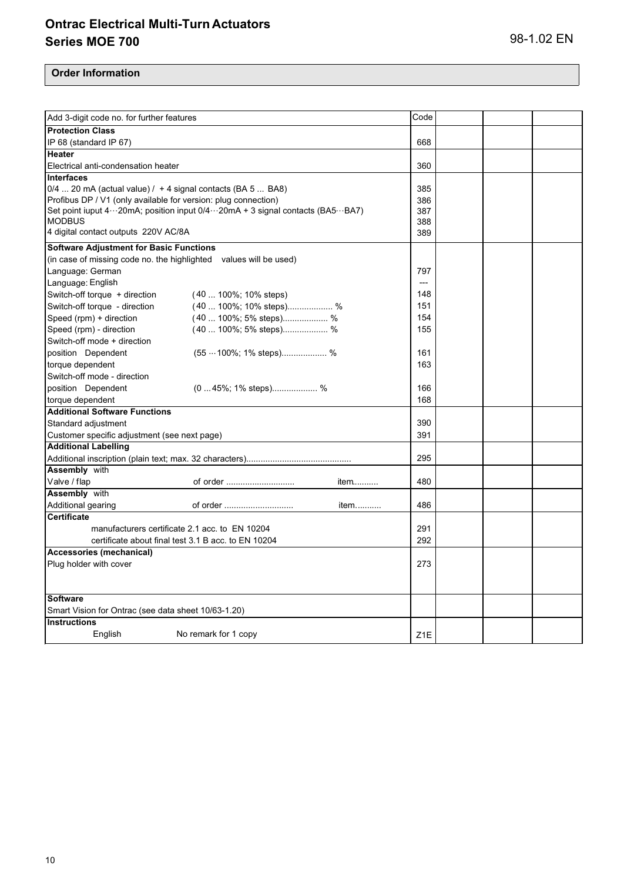| Add 3-digit code no. for further features                                     | Code             |  |  |
|-------------------------------------------------------------------------------|------------------|--|--|
| <b>Protection Class</b>                                                       |                  |  |  |
| IP 68 (standard IP 67)                                                        | 668              |  |  |
| <b>Heater</b>                                                                 |                  |  |  |
| Electrical anti-condensation heater                                           | 360              |  |  |
| <b>Interfaces</b>                                                             |                  |  |  |
| 0/4  20 mA (actual value) / + 4 signal contacts (BA 5  BA8)                   | 385              |  |  |
| Profibus DP / V1 (only available for version: plug connection)                | 386              |  |  |
| Set point iuput 4…20mA; position input 0/4…20mA + 3 signal contacts (BA5…BA7) | 387              |  |  |
| <b>MODBUS</b>                                                                 | 388              |  |  |
| 4 digital contact outputs 220V AC/8A                                          | 389              |  |  |
| <b>Software Adjustment for Basic Functions</b>                                |                  |  |  |
| (in case of missing code no. the highlighted values will be used)             |                  |  |  |
| Language: German                                                              | 797              |  |  |
| Language: English                                                             | ---              |  |  |
| Switch-off torque + direction<br>$(40100\%;10\%$ steps)                       | 148              |  |  |
| Switch-off torque - direction<br>$(40100\%;10\%$ steps) %                     | 151              |  |  |
| Speed (rpm) + direction<br>$(40100\%; 5\%$ steps) %                           | 154              |  |  |
| Speed (rpm) - direction<br>(40  100%; 5% steps) %                             | 155              |  |  |
| Switch-off mode + direction                                                   |                  |  |  |
| (55 · · 100%; 1% steps) %<br>position Dependent                               | 161              |  |  |
| torque dependent                                                              | 163              |  |  |
| Switch-off mode - direction                                                   |                  |  |  |
| position Dependent<br>$(045\%; 1\%$ steps) %                                  | 166              |  |  |
| torque dependent                                                              | 168              |  |  |
| <b>Additional Software Functions</b>                                          |                  |  |  |
| Standard adjustment                                                           | 390              |  |  |
| Customer specific adjustment (see next page)                                  | 391              |  |  |
| <b>Additional Labelling</b>                                                   |                  |  |  |
|                                                                               | 295              |  |  |
| <b>Assembly with</b>                                                          |                  |  |  |
| Valve / flap<br>of order<br>item                                              | 480              |  |  |
| <b>Assembly</b> with                                                          |                  |  |  |
| Additional gearing<br>of order<br>item                                        | 486              |  |  |
| <b>Certificate</b>                                                            |                  |  |  |
| manufacturers certificate 2.1 acc. to EN 10204                                | 291              |  |  |
| certificate about final test 3.1 B acc. to EN 10204                           | 292              |  |  |
| Accessories (mechanical)                                                      |                  |  |  |
| Plug holder with cover                                                        | 273              |  |  |
|                                                                               |                  |  |  |
|                                                                               |                  |  |  |
| <b>Software</b>                                                               |                  |  |  |
| Smart Vision for Ontrac (see data sheet 10/63-1.20)                           |                  |  |  |
| <b>Instructions</b>                                                           |                  |  |  |
| English<br>No remark for 1 copy                                               | Z <sub>1</sub> E |  |  |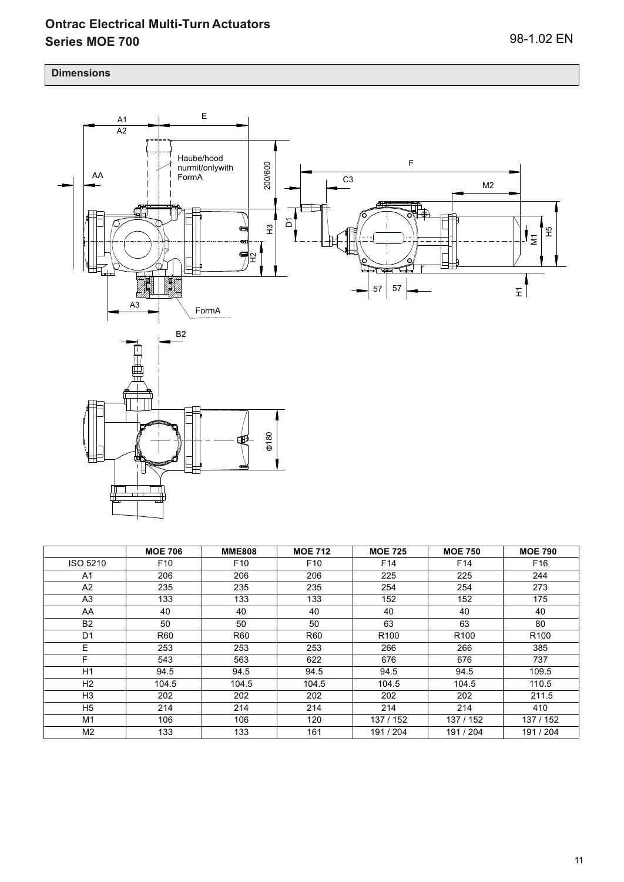#### **Dimensions**



|                 | <b>MOE 706</b>  | <b>MME808</b>   | <b>MOE 712</b>  | <b>MOE 725</b>   | <b>MOE 750</b>   | <b>MOE 790</b>   |
|-----------------|-----------------|-----------------|-----------------|------------------|------------------|------------------|
| <b>ISO 5210</b> | F <sub>10</sub> | F <sub>10</sub> | F <sub>10</sub> | F14              | F <sub>14</sub>  | F <sub>16</sub>  |
| A1              | 206             | 206             | 206             | 225              | 225              | 244              |
| A2              | 235             | 235             | 235             | 254              | 254              | 273              |
| A3              | 133             | 133             | 133             | 152              | 152              | 175              |
| AA              | 40              | 40              | 40              | 40               | 40               | 40               |
| <b>B2</b>       | 50              | 50              | 50              | 63               | 63               | 80               |
| D1              | R60             | <b>R60</b>      | R60             | R <sub>100</sub> | R <sub>100</sub> | R <sub>100</sub> |
| E.              | 253             | 253             | 253             | 266              | 266              | 385              |
| F               | 543             | 563             | 622             | 676              | 676              | 737              |
| H1              | 94.5            | 94.5            | 94.5            | 94.5             | 94.5             | 109.5            |
| H2              | 104.5           | 104.5           | 104.5           | 104.5            | 104.5            | 110.5            |
| H <sub>3</sub>  | 202             | 202             | 202             | 202              | 202              | 211.5            |
| H <sub>5</sub>  | 214             | 214             | 214             | 214              | 214              | 410              |
| M1              | 106             | 106             | 120             | 137 / 152        | 137 / 152        | 137 / 152        |
| M <sub>2</sub>  | 133             | 133             | 161             | 191/204          | 191 / 204        | 191 / 204        |

180

∉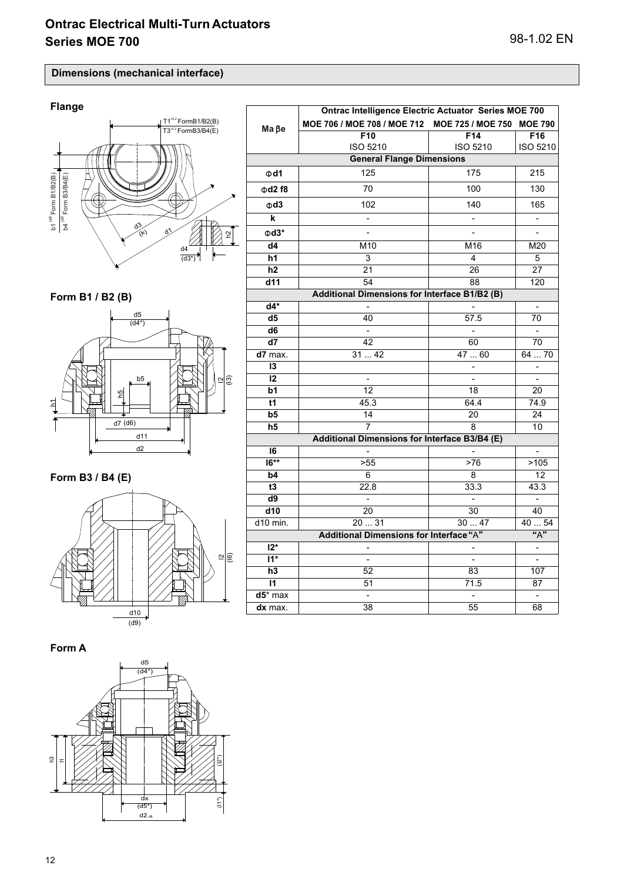$T1^{*0.2}$  FormB1/B2(B)  $T3^{*0.2}$  FormB3/B4(E)

### **Dimensions (mechanical interface)**

# **Flange**



**Form B1 / B2 (B)**



## **Form B3 / B4 (E)**



**Form A**



|                                               | Ontrac Intelligence Electric Actuator Series MOE 700 |                 |                              |  |  |  |  |
|-----------------------------------------------|------------------------------------------------------|-----------------|------------------------------|--|--|--|--|
| $Ma$ $Be$                                     | MOE 706 / MOE 708 / MOE 712 MOE 725 / MOE 750        |                 | <b>MOE 790</b>               |  |  |  |  |
|                                               | F10                                                  | F14             | F16                          |  |  |  |  |
|                                               | ISO 5210                                             | <b>ISO 5210</b> | ISO 5210                     |  |  |  |  |
| <b>General Flange Dimensions</b>              |                                                      |                 |                              |  |  |  |  |
| $\Phi$ d1                                     | 125                                                  | 175             | 215                          |  |  |  |  |
| $\Phi$ d2 f8                                  | 70                                                   | 100             | 130                          |  |  |  |  |
| $\Phi$ d3                                     | 102                                                  | 140             | 165                          |  |  |  |  |
| k                                             | $\overline{\phantom{a}}$                             |                 | $\qquad \qquad \blacksquare$ |  |  |  |  |
| $\Phi$ d3*                                    |                                                      |                 | $\qquad \qquad \blacksquare$ |  |  |  |  |
| d4                                            | M10                                                  | M16             | M20                          |  |  |  |  |
| h1                                            | 3                                                    | 4               | 5                            |  |  |  |  |
| h <sub>2</sub>                                | 21                                                   | 26              | 27                           |  |  |  |  |
| d11                                           | 54                                                   | 88              | 120                          |  |  |  |  |
| Additional Dimensions for Interface B1/B2 (B) |                                                      |                 |                              |  |  |  |  |
| $d4*$                                         |                                                      |                 | $\overline{\phantom{0}}$     |  |  |  |  |
| d5                                            | 40                                                   | 57.5            | 70                           |  |  |  |  |
| d <sub>6</sub>                                |                                                      |                 |                              |  |  |  |  |
| d7                                            | 42                                                   | 60              | 70                           |  |  |  |  |
| d7 max.                                       | 3142                                                 | 47  60          | 64  70                       |  |  |  |  |
| 13                                            |                                                      |                 | $\qquad \qquad \blacksquare$ |  |  |  |  |
| 12                                            | $\blacksquare$                                       |                 | $\overline{\phantom{0}}$     |  |  |  |  |
| b1                                            | 12                                                   | 18              | 20                           |  |  |  |  |
| t1                                            | 45.3                                                 | 64.4            | 74.9                         |  |  |  |  |
| b5                                            | 14                                                   | 20              | 24                           |  |  |  |  |
| h5                                            | 7                                                    | 8               | 10                           |  |  |  |  |
|                                               | Additional Dimensions for Interface B3/B4 (E)        |                 |                              |  |  |  |  |
| 16                                            |                                                      |                 | $\blacksquare$               |  |  |  |  |
| $16***$                                       | >55                                                  | >76             | >105                         |  |  |  |  |
| b4                                            | 6                                                    | 8               | 12                           |  |  |  |  |
| t3                                            | 22.8                                                 | 33.3            | 43.3                         |  |  |  |  |
| d9                                            |                                                      |                 | $\frac{1}{2}$                |  |  |  |  |
| d10                                           | 20                                                   | 30              | 40                           |  |  |  |  |
| d10 min.                                      | 2031                                                 | 3047            | 40  54                       |  |  |  |  |
|                                               | Additional Dimensions for Interface "A"              |                 | "A"                          |  |  |  |  |
| $12*$                                         |                                                      |                 |                              |  |  |  |  |
| $11*$                                         | $\overline{a}$                                       | $\overline{a}$  | $\overline{\phantom{a}}$     |  |  |  |  |
| h3                                            | 52                                                   | 83              | 107                          |  |  |  |  |
| $\mathsf{I}$                                  | 51                                                   | 71.5            | 87                           |  |  |  |  |
| $d5$ * max                                    | $\blacksquare$                                       |                 | L.                           |  |  |  |  |
| dx max.                                       | 38                                                   | 55              | 68                           |  |  |  |  |